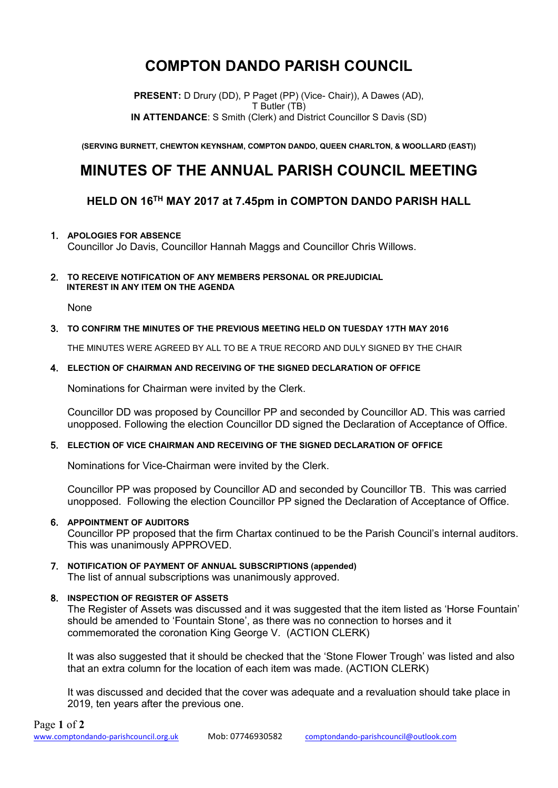# **COMPTON DANDO PARISH COUNCIL**

**PRESENT:** D Drury (DD), P Paget (PP) (Vice- Chair)), A Dawes (AD), T Butler (TB) **IN ATTENDANCE**: S Smith (Clerk) and District Councillor S Davis (SD)

**(SERVING BURNETT, CHEWTON KEYNSHAM, COMPTON DANDO, QUEEN CHARLTON, & WOOLLARD (EAST))**

## **MINUTES OF THE ANNUAL PARISH COUNCIL MEETING**

### **HELD ON 16 TH MAY 2017 at 7.45pm in COMPTON DANDO PARISH HALL**

#### 1. **APOLOGIES FOR ABSENCE**

Councillor Jo Davis, Councillor Hannah Maggs and Councillor Chris Willows.

#### 2. **TO RECEIVE NOTIFICATION OF ANY MEMBERS PERSONAL OR PREJUDICIAL INTEREST IN ANY ITEM ON THE AGENDA**

None

#### 3. **TO CONFIRM THE MINUTES OF THE PREVIOUS MEETING HELD ON TUESDAY 17TH MAY 2016**

THE MINUTES WERE AGREED BY ALL TO BE A TRUE RECORD AND DULY SIGNED BY THE CHAIR

#### 4. **ELECTION OF CHAIRMAN AND RECEIVING OF THE SIGNED DECLARATION OF OFFICE**

Nominations for Chairman were invited by the Clerk.

Councillor DD was proposed by Councillor PP and seconded by Councillor AD. This was carried unopposed. Following the election Councillor DD signed the Declaration of Acceptance of Office.

#### 5. **ELECTION OF VICE CHAIRMAN AND RECEIVING OF THE SIGNED DECLARATION OF OFFICE**

Nominations for Vice-Chairman were invited by the Clerk.

Councillor PP was proposed by Councillor AD and seconded by Councillor TB. This was carried unopposed. Following the election Councillor PP signed the Declaration of Acceptance of Office.

#### 6. **APPOINTMENT OF AUDITORS**

Councillor PP proposed that the firm Chartax continued to be the Parish Council's internal auditors. This was unanimously APPROVED.

#### 7. **NOTIFICATION OF PAYMENT OF ANNUAL SUBSCRIPTIONS (appended)** The list of annual subscriptions was unanimously approved.

#### 8. **INSPECTION OF REGISTER OF ASSETS**

The Register of Assets was discussed and it was suggested that the item listed as 'Horse Fountain' should be amended to 'Fountain Stone', as there was no connection to horses and it commemorated the coronation King George V. (ACTION CLERK)

It was also suggested that it should be checked that the 'Stone Flower Trough' was listed and also that an extra column for the location of each item was made. (ACTION CLERK)

It was discussed and decided that the cover was adequate and a revaluation should take place in 2019, ten years after the previous one.